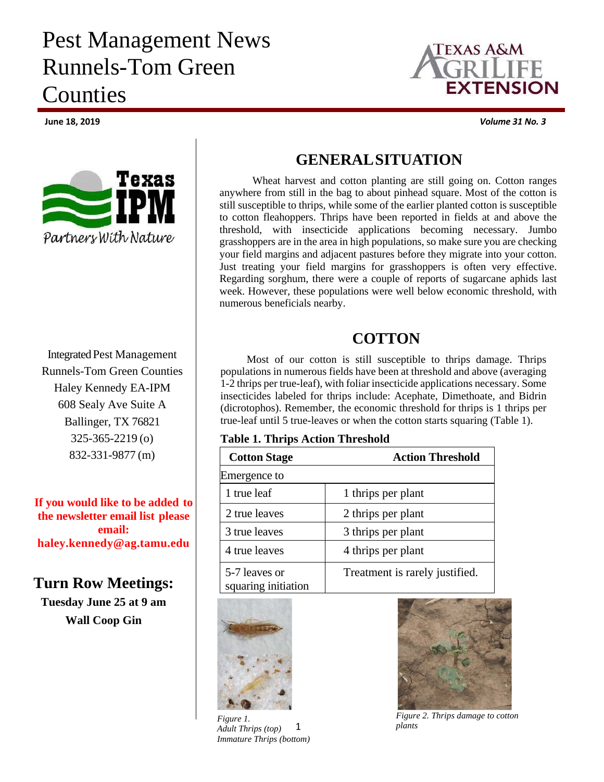# Pest Management News Runnels-Tom Green Counties



Integrated Pest Management Runnels-Tom Green Counties Haley Kennedy EA-IPM 608 Sealy Ave Suite A Ballinger, TX 76821 325-365-2219 (o) 832-331-9877 (m)

**If you would like to be added to the newsletter email list please email: haley.kennedy@ag.tamu.edu**

## **Turn Row Meetings:**

**Tuesday June 25 at 9 am Wall Coop Gin** 



**June 18, 2019** *Volume 31 No. 3*

# **GENERAL SITUATION**

Wheat harvest and cotton planting are still going on. Cotton ranges anywhere from still in the bag to about pinhead square. Most of the cotton is still susceptible to thrips, while some of the earlier planted cotton is susceptible to cotton fleahoppers. Thrips have been reported in fields at and above the threshold, with insecticide applications becoming necessary. Jumbo grasshoppers are in the area in high populations, so make sure you are checking your field margins and adjacent pastures before they migrate into your cotton. Just treating your field margins for grasshoppers is often very effective. Regarding sorghum, there were a couple of reports of sugarcane aphids last week. However, these populations were well below economic threshold, with numerous beneficials nearby.

# **COTTON**

Most of our cotton is still susceptible to thrips damage. Thrips populations in numerous fields have been at threshold and above (averaging 1-2 thrips per true-leaf), with foliar insecticide applications necessary. Some insecticides labeled for thrips include: Acephate, Dimethoate, and Bidrin (dicrotophos). Remember, the economic threshold for thrips is 1 thrips per true-leaf until 5 true-leaves or when the cotton starts squaring (Table 1).

#### **Table 1. Thrips Action Threshold**

| <b>Cotton Stage</b>                  | <b>Action Threshold</b>        |
|--------------------------------------|--------------------------------|
| Emergence to                         |                                |
| 1 true leaf                          | 1 thrips per plant             |
| 2 true leaves                        | 2 thrips per plant             |
| 3 true leaves                        | 3 thrips per plant             |
| 4 true leaves                        | 4 thrips per plant             |
| 5-7 leaves or<br>squaring initiation | Treatment is rarely justified. |



1 *Figure 1. Adult Thrips (top) Immature Thrips (bottom)* 



*Figure 2. Thrips damage to cotton plants*